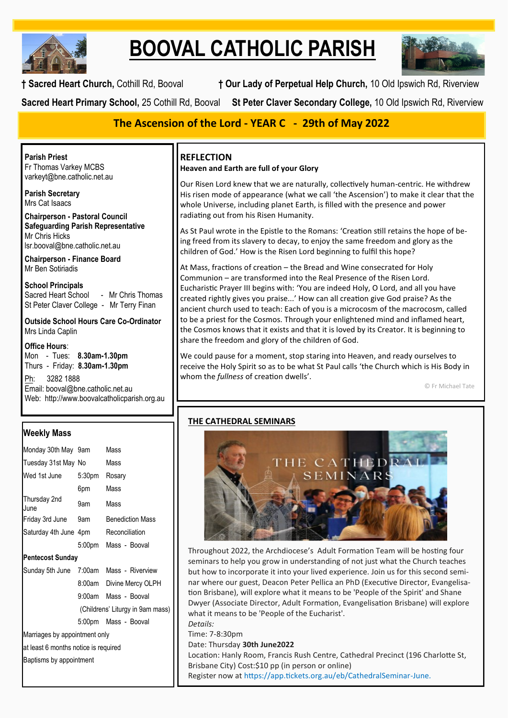

# **BOOVAL CATHOLIC PARISH**



**† Sacred Heart Church,** Cothill Rd, Booval **† Our Lady of Perpetual Help Church,** 10 Old Ipswich Rd, Riverview

**Sacred Heart Primary School,** 25 Cothill Rd, Booval **St Peter Claver Secondary College,** 10 Old Ipswich Rd, Riverview

# **The Ascension of the Lord - YEAR C - 29th of May 2022**

**Parish Priest** Fr Thomas Varkey MCBS varkeyt@bne.catholic.net.au

**Parish Secretary** Mrs Cat Isaacs

**Chairperson - Pastoral Council Safeguarding Parish Representative** Mr Chris Hicks [lsr.booval@bne.catholic.net.au](mailto:lsr.booval@bne.catholi.net.au)

**Chairperson - Finance Board** Mr Ben Sotiriadis

**School Principals** Sacred Heart School - Mr Chris Thomas St Peter Claver College - Mr Terry Finan

**Outside School Hours Care Co-Ordinator** Mrs Linda Caplin

**Office Hours**: Mon - Tues: **8.30am-1.30pm** Thurs - Friday: **8.30am-1.30pm**

Ph: 3282 1888 Email: booval@bne.catholic.net.au Web: http://www.boovalcatholicparish.org.au

# **Weekly Mass**

| Monday 30th May 9am                  |        | Mass                                    |  |  |
|--------------------------------------|--------|-----------------------------------------|--|--|
| Tuesday 31st May No                  |        | Mass                                    |  |  |
| Wed 1st June                         | 5:30pm | Rosary                                  |  |  |
|                                      | 6pm    | Mass                                    |  |  |
| Thursday 2nd<br>June                 | 9am    | Mass                                    |  |  |
| Friday 3rd June 9am Benediction Mass |        |                                         |  |  |
| Saturday 4th June 4pm Reconciliation |        |                                         |  |  |
|                                      |        | 5:00pm Mass - Booval                    |  |  |
| <b>Pentecost Sunday</b>              |        |                                         |  |  |
|                                      |        | Sunday 5th June 7:00am Mass - Riverview |  |  |
|                                      |        | 8:00am Divine Mercy OLPH                |  |  |
|                                      |        | 9:00am Mass - Booval                    |  |  |
| (Childrens' Liturgy in 9am mass)     |        |                                         |  |  |
|                                      |        | 5:00pm Mass - Booval                    |  |  |
| Marriages by appointment only        |        |                                         |  |  |
| at least 6 months notice is required |        |                                         |  |  |
| Baptisms by appointment              |        |                                         |  |  |
|                                      |        |                                         |  |  |

# **REFLECTION**

## **Heaven and Earth are full of your Glory**

Our Risen Lord knew that we are naturally, collectively human-centric. He withdrew His risen mode of appearance (what we call 'the Ascension') to make it clear that the whole Universe, including planet Earth, is filled with the presence and power radiating out from his Risen Humanity.

As St Paul wrote in the Epistle to the Romans: 'Creation still retains the hope of being freed from its slavery to decay, to enjoy the same freedom and glory as the children of God.' How is the Risen Lord beginning to fulfil this hope?

At Mass, fractions of creation – the Bread and Wine consecrated for Holy Communion – are transformed into the Real Presence of the Risen Lord. Eucharistic Prayer III begins with: 'You are indeed Holy, O Lord, and all you have created rightly gives you praise...' How can all creation give God praise? As the ancient church used to teach: Each of you is a microcosm of the macrocosm, called to be a priest for the Cosmos. Through your enlightened mind and inflamed heart, the Cosmos knows that it exists and that it is loved by its Creator. It is beginning to share the freedom and glory of the children of God.

We could pause for a moment, stop staring into Heaven, and ready ourselves to receive the Holy Spirit so as to be what St Paul calls 'the Church which is His Body in whom the *fullness* of creation dwells'.

© Fr Michael Tate

# **THE CATHEDRAL SEMINARS**



Throughout 2022, the Archdiocese's Adult Formation Team will be hosting four seminars to help you grow in understanding of not just what the Church teaches but how to incorporate it into your lived experience. Join us for this second seminar where our guest, Deacon Peter Pellica an PhD (Executive Director, Evangelisation Brisbane), will explore what it means to be 'People of the Spirit' and Shane Dwyer (Associate Director, Adult Formation, Evangelisation Brisbane) will explore what it means to be 'People of the Eucharist'.

*Details:*  Time: 7-8:30pm Date: Thursday **30th June2022**  Location: Hanly Room, Francis Rush Centre, Cathedral Precinct (196 Charlotte St, Brisbane City) Cost:\$10 pp (in person or online) Register now at https://app.tickets.org.au/eb/CathedralSeminar-June.